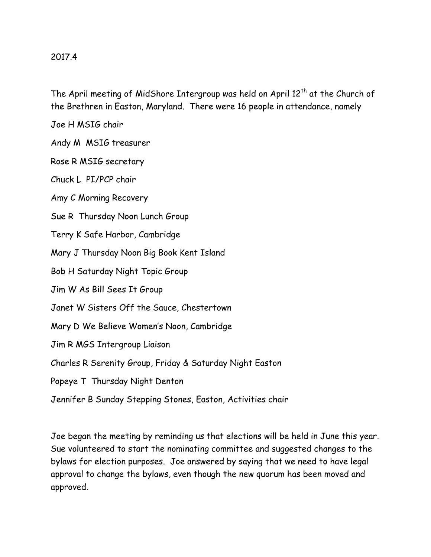## 2017.4

The April meeting of MidShore Intergroup was held on April  $12<sup>th</sup>$  at the Church of the Brethren in Easton, Maryland. There were 16 people in attendance, namely

Joe H MSIG chair

Andy M MSIG treasurer

Rose R MSIG secretary

Chuck L PI/PCP chair

Amy C Morning Recovery

Sue R Thursday Noon Lunch Group

Terry K Safe Harbor, Cambridge

Mary J Thursday Noon Big Book Kent Island

Bob H Saturday Night Topic Group

Jim W As Bill Sees It Group

Janet W Sisters Off the Sauce, Chestertown

Mary D We Believe Women's Noon, Cambridge

Jim R MGS Intergroup Liaison

Charles R Serenity Group, Friday & Saturday Night Easton

Popeye T Thursday Night Denton

Jennifer B Sunday Stepping Stones, Easton, Activities chair

Joe began the meeting by reminding us that elections will be held in June this year. Sue volunteered to start the nominating committee and suggested changes to the bylaws for election purposes. Joe answered by saying that we need to have legal approval to change the bylaws, even though the new quorum has been moved and approved.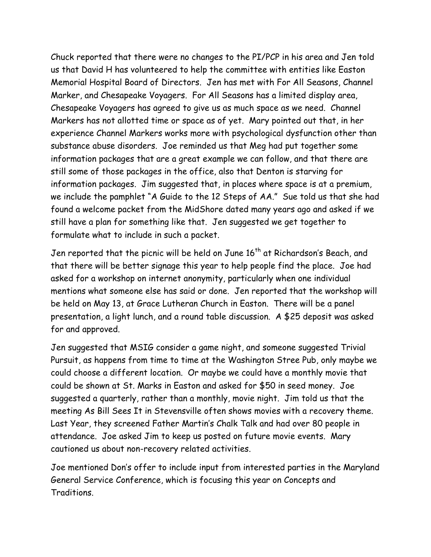Chuck reported that there were no changes to the PI/PCP in his area and Jen told us that David H has volunteered to help the committee with entities like Easton Memorial Hospital Board of Directors. Jen has met with For All Seasons, Channel Marker, and Chesapeake Voyagers. For All Seasons has a limited display area, Chesapeake Voyagers has agreed to give us as much space as we need. Channel Markers has not allotted time or space as of yet. Mary pointed out that, in her experience Channel Markers works more with psychological dysfunction other than substance abuse disorders. Joe reminded us that Meg had put together some information packages that are a great example we can follow, and that there are still some of those packages in the office, also that Denton is starving for information packages. Jim suggested that, in places where space is at a premium, we include the pamphlet "A Guide to the 12 Steps of AA." Sue told us that she had found a welcome packet from the MidShore dated many years ago and asked if we still have a plan for something like that. Jen suggested we get together to formulate what to include in such a packet.

Jen reported that the picnic will be held on June 16<sup>th</sup> at Richardson's Beach, and that there will be better signage this year to help people find the place. Joe had asked for a workshop on internet anonymity, particularly when one individual mentions what someone else has said or done. Jen reported that the workshop will be held on May 13, at Grace Lutheran Church in Easton. There will be a panel presentation, a light lunch, and a round table discussion. A \$25 deposit was asked for and approved.

Jen suggested that MSIG consider a game night, and someone suggested Trivial Pursuit, as happens from time to time at the Washington Stree Pub, only maybe we could choose a different location. Or maybe we could have a monthly movie that could be shown at St. Marks in Easton and asked for \$50 in seed money. Joe suggested a quarterly, rather than a monthly, movie night. Jim told us that the meeting As Bill Sees It in Stevensville often shows movies with a recovery theme. Last Year, they screened Father Martin's Chalk Talk and had over 80 people in attendance. Joe asked Jim to keep us posted on future movie events. Mary cautioned us about non-recovery related activities.

Joe mentioned Don's offer to include input from interested parties in the Maryland General Service Conference, which is focusing this year on Concepts and Traditions.